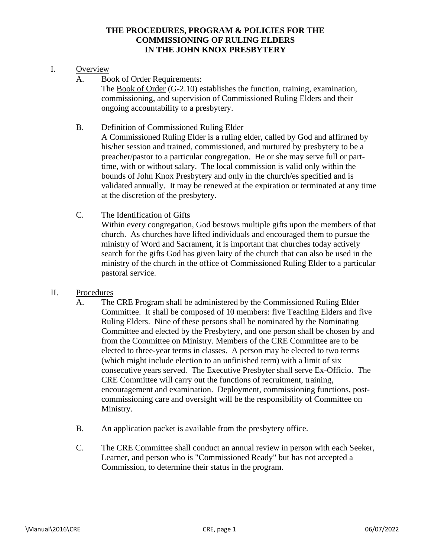## **THE PROCEDURES, PROGRAM & POLICIES FOR THE COMMISSIONING OF RULING ELDERS IN THE JOHN KNOX PRESBYTERY**

## I. Overview

A. Book of Order Requirements:

The Book of Order (G-2.10) establishes the function, training, examination, commissioning, and supervision of Commissioned Ruling Elders and their ongoing accountability to a presbytery.

B. Definition of Commissioned Ruling Elder

A Commissioned Ruling Elder is a ruling elder, called by God and affirmed by his/her session and trained, commissioned, and nurtured by presbytery to be a preacher/pastor to a particular congregation. He or she may serve full or parttime, with or without salary. The local commission is valid only within the bounds of John Knox Presbytery and only in the church/es specified and is validated annually. It may be renewed at the expiration or terminated at any time at the discretion of the presbytery.

- C. The Identification of Gifts Within every congregation, God bestows multiple gifts upon the members of that church. As churches have lifted individuals and encouraged them to pursue the ministry of Word and Sacrament, it is important that churches today actively search for the gifts God has given laity of the church that can also be used in the ministry of the church in the office of Commissioned Ruling Elder to a particular pastoral service.
- II. Procedures
	- A. The CRE Program shall be administered by the Commissioned Ruling Elder Committee. It shall be composed of 10 members: five Teaching Elders and five Ruling Elders. Nine of these persons shall be nominated by the Nominating Committee and elected by the Presbytery, and one person shall be chosen by and from the Committee on Ministry. Members of the CRE Committee are to be elected to three-year terms in classes. A person may be elected to two terms (which might include election to an unfinished term) with a limit of six consecutive years served. The Executive Presbyter shall serve Ex-Officio. The CRE Committee will carry out the functions of recruitment, training, encouragement and examination. Deployment, commissioning functions, postcommissioning care and oversight will be the responsibility of Committee on Ministry.
	- B. An application packet is available from the presbytery office.
	- C. The CRE Committee shall conduct an annual review in person with each Seeker, Learner, and person who is "Commissioned Ready" but has not accepted a Commission, to determine their status in the program.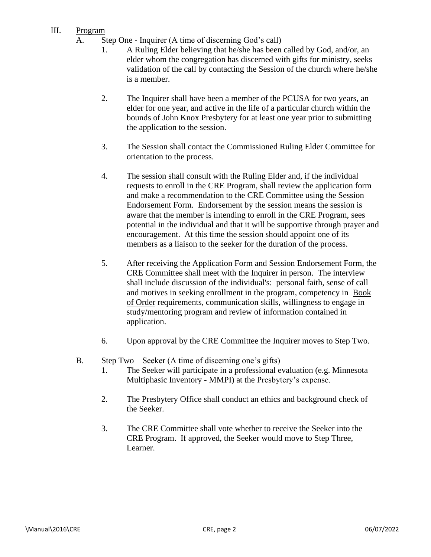## III. Program

- A. Step One Inquirer (A time of discerning God's call)
	- 1. A Ruling Elder believing that he/she has been called by God, and/or, an elder whom the congregation has discerned with gifts for ministry, seeks validation of the call by contacting the Session of the church where he/she is a member.
	- 2. The Inquirer shall have been a member of the PCUSA for two years, an elder for one year, and active in the life of a particular church within the bounds of John Knox Presbytery for at least one year prior to submitting the application to the session.
	- 3. The Session shall contact the Commissioned Ruling Elder Committee for orientation to the process.
	- 4. The session shall consult with the Ruling Elder and, if the individual requests to enroll in the CRE Program, shall review the application form and make a recommendation to the CRE Committee using the Session Endorsement Form. Endorsement by the session means the session is aware that the member is intending to enroll in the CRE Program, sees potential in the individual and that it will be supportive through prayer and encouragement. At this time the session should appoint one of its members as a liaison to the seeker for the duration of the process.
	- 5. After receiving the Application Form and Session Endorsement Form, the CRE Committee shall meet with the Inquirer in person. The interview shall include discussion of the individual's: personal faith, sense of call and motives in seeking enrollment in the program, competency in Book of Order requirements, communication skills, willingness to engage in study/mentoring program and review of information contained in application.
	- 6. Upon approval by the CRE Committee the Inquirer moves to Step Two.
- B. Step Two Seeker (A time of discerning one's gifts)
	- 1. The Seeker will participate in a professional evaluation (e.g. Minnesota Multiphasic Inventory - MMPI) at the Presbytery's expense.
	- 2. The Presbytery Office shall conduct an ethics and background check of the Seeker.
	- 3. The CRE Committee shall vote whether to receive the Seeker into the CRE Program. If approved, the Seeker would move to Step Three, Learner.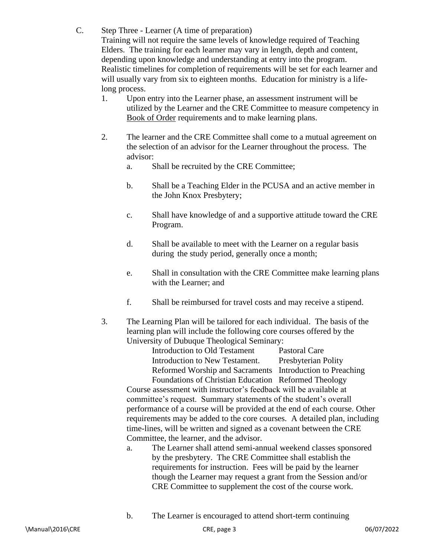C. Step Three - Learner (A time of preparation)

Training will not require the same levels of knowledge required of Teaching Elders. The training for each learner may vary in length, depth and content, depending upon knowledge and understanding at entry into the program. Realistic timelines for completion of requirements will be set for each learner and will usually vary from six to eighteen months. Education for ministry is a lifelong process.

- 1. Upon entry into the Learner phase, an assessment instrument will be utilized by the Learner and the CRE Committee to measure competency in Book of Order requirements and to make learning plans.
- 2. The learner and the CRE Committee shall come to a mutual agreement on the selection of an advisor for the Learner throughout the process. The advisor:
	- a. Shall be recruited by the CRE Committee;
	- b. Shall be a Teaching Elder in the PCUSA and an active member in the John Knox Presbytery;
	- c. Shall have knowledge of and a supportive attitude toward the CRE Program.
	- d. Shall be available to meet with the Learner on a regular basis during the study period, generally once a month;
	- e. Shall in consultation with the CRE Committee make learning plans with the Learner; and
	- f. Shall be reimbursed for travel costs and may receive a stipend.
- 3. The Learning Plan will be tailored for each individual. The basis of the learning plan will include the following core courses offered by the University of Dubuque Theological Seminary:

Introduction to Old Testament Pastoral Care Introduction to New Testament. Presbyterian Polity Reformed Worship and Sacraments Introduction to Preaching Foundations of Christian Education Reformed Theology

Course assessment with instructor's feedback will be available at committee's request. Summary statements of the student's overall performance of a course will be provided at the end of each course. Other requirements may be added to the core courses. A detailed plan, including time-lines, will be written and signed as a covenant between the CRE Committee, the learner, and the advisor.

- a. The Learner shall attend semi-annual weekend classes sponsored by the presbytery. The CRE Committee shall establish the requirements for instruction. Fees will be paid by the learner though the Learner may request a grant from the Session and/or CRE Committee to supplement the cost of the course work.
- b. The Learner is encouraged to attend short-term continuing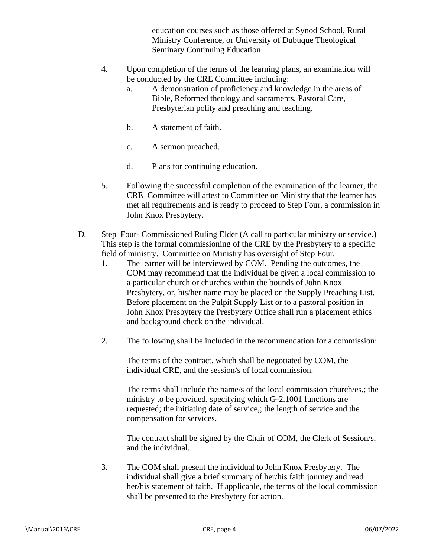education courses such as those offered at Synod School, Rural Ministry Conference, or University of Dubuque Theological Seminary Continuing Education.

- 4. Upon completion of the terms of the learning plans, an examination will be conducted by the CRE Committee including:
	- a. A demonstration of proficiency and knowledge in the areas of Bible, Reformed theology and sacraments, Pastoral Care, Presbyterian polity and preaching and teaching.
	- b. A statement of faith.
	- c. A sermon preached.
	- d. Plans for continuing education.
- 5. Following the successful completion of the examination of the learner, the CRE Committee will attest to Committee on Ministry that the learner has met all requirements and is ready to proceed to Step Four, a commission in John Knox Presbytery.
- D*.* Step Four- Commissioned Ruling Elder (A call to particular ministry or service.) This step is the formal commissioning of the CRE by the Presbytery to a specific field of ministry. Committee on Ministry has oversight of Step Four*.*
	- 1. The learner will be interviewed by COM. Pending the outcomes, the COM may recommend that the individual be given a local commission to a particular church or churches within the bounds of John Knox Presbytery, or, his/her name may be placed on the Supply Preaching List. Before placement on the Pulpit Supply List or to a pastoral position in John Knox Presbytery the Presbytery Office shall run a placement ethics and background check on the individual.
	- 2. The following shall be included in the recommendation for a commission:

The terms of the contract, which shall be negotiated by COM, the individual CRE, and the session/s of local commission.

The terms shall include the name/s of the local commission church/es,; the ministry to be provided, specifying which G-2.1001 functions are requested; the initiating date of service,; the length of service and the compensation for services.

The contract shall be signed by the Chair of COM, the Clerk of Session/s, and the individual.

3. The COM shall present the individual to John Knox Presbytery. The individual shall give a brief summary of her/his faith journey and read her/his statement of faith. If applicable, the terms of the local commission shall be presented to the Presbytery for action.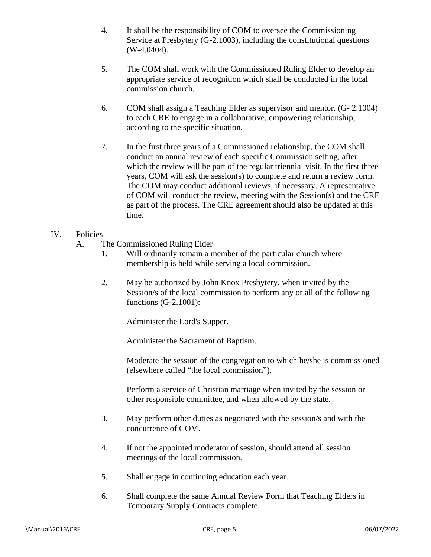- 4. It shall be the responsibility of COM to oversee the Commissioning Service at Presbytery (G-2.1003), including the constitutional questions (W-4.0404).
- 5. The COM shall work with the Commissioned Ruling Elder to develop an appropriate service of recognition which shall be conducted in the local commission church.
- 6. COM shall assign a Teaching Elder as supervisor and mentor. (G- 2.1004) to each CRE to engage in a collaborative, empowering relationship, according to the specific situation.
- 7. In the first three years of a Commissioned relationship, the COM shall conduct an annual review of each specific Commission setting, after which the review will be part of the regular triennial visit. In the first three years, COM will ask the session(s) to complete and return a review form. The COM may conduct additional reviews, if necessary. A representative of COM will conduct the review, meeting with the Session(s) and the CRE as part of the process. The CRE agreement should also be updated at this time.
- IV. Policies
	- A. The Commissioned Ruling Elder
		- 1. Will ordinarily remain a member of the particular church where membership is held while serving a local commission.
		- 2. May be authorized by John Knox Presbytery, when invited by the Session/s of the local commission to perform any or all of the following functions (G-2.1001):

Administer the Lord's Supper.

Administer the Sacrament of Baptism.

Moderate the session of the congregation to which he/she is commissioned (elsewhere called "the local commission").

Perform a service of Christian marriage when invited by the session or other responsible committee, and when allowed by the state.

- 3. May perform other duties as negotiated with the session/s and with the concurrence of COM.
- 4. If not the appointed moderator of session, should attend all session meetings of the local commission*.*
- 5. Shall engage in continuing education each year.
- 6. Shall complete the same Annual Review Form that Teaching Elders in Temporary Supply Contracts complete,